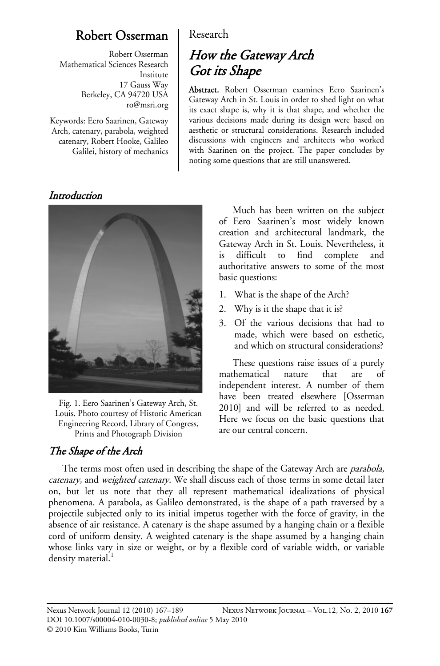# Robert Osserman

Robert Osserman Mathematical Sciences Research Institute 17 Gauss Way Berkeley, CA 94720 USA ro@msri.org

Keywords: Eero Saarinen, Gateway Arch, catenary, parabola, weighted catenary, Robert Hooke, Galileo Galilei, history of mechanics

## Research

# How the Gateway Arch Got its Shape

Abstract. Robert Osserman examines Eero Saarinen's Gateway Arch in St. Louis in order to shed light on what its exact shape is, why it is that shape, and whether the various decisions made during its design were based on aesthetic or structural considerations. Research included discussions with engineers and architects who worked with Saarinen on the project. The paper concludes by noting some questions that are still unanswered.



Fig. 1. Eero Saarinen's Gateway Arch, St. Louis. Photo courtesy of Historic American Engineering Record, Library of Congress, Prints and Photograph Division

# The Shape of the Arch

Much has been written on the subject of Eero Saarinen's most widely known creation and architectural landmark, the Gateway Arch in St. Louis. Nevertheless, it difficult to find complete and authoritative answers to some of the most basic questions:

- 1. What is the shape of the Arch?
- 2. Why is it the shape that it is?
- 3. Of the various decisions that had to made, which were based on esthetic, and which on structural considerations?

These questions raise issues of a purely mathematical nature that are of independent interest. A number of them have been treated elsewhere [Osserman 2010] and will be referred to as needed. Here we focus on the basic questions that are our central concern.

The terms most often used in describing the shape of the Gateway Arch are *parabola*, catenary, and weighted catenary. We shall discuss each of those terms in some detail later on, but let us note that they all represent mathematical idealizations of physical phenomena. A parabola, as Galileo demonstrated, is the shape of a path traversed by a projectile subjected only to its initial impetus together with the force of gravity, in the absence of air resistance. A catenary is the shape assumed by a hanging chain or a flexible cord of uniform density. A weighted catenary is the shape assumed by a hanging chain whose links vary in size or weight, or by a flexible cord of variable width, or variable density material.

# Introduction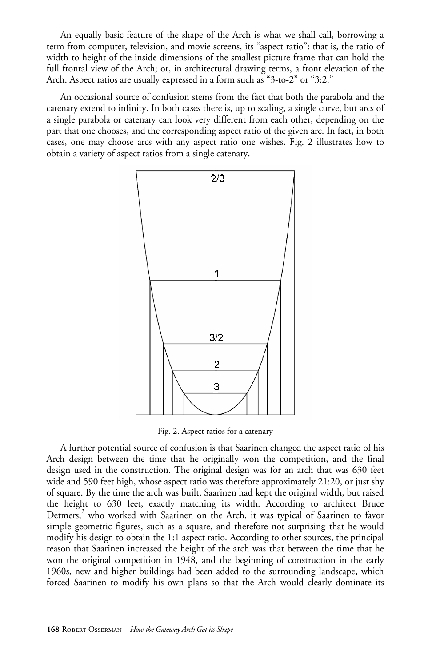An equally basic feature of the shape of the Arch is what we shall call, borrowing a term from computer, television, and movie screens, its "aspect ratio": that is, the ratio of width to height of the inside dimensions of the smallest picture frame that can hold the full frontal view of the Arch; or, in architectural drawing terms, a front elevation of the Arch. Aspect ratios are usually expressed in a form such as "3-to-2" or "3:2."

An occasional source of confusion stems from the fact that both the parabola and the catenary extend to infinity. In both cases there is, up to scaling, a single curve, but arcs of a single parabola or catenary can look very different from each other, depending on the part that one chooses, and the corresponding aspect ratio of the given arc. In fact, in both cases, one may choose arcs with any aspect ratio one wishes. Fig. 2 illustrates how to obtain a variety of aspect ratios from a single catenary.



Fig. 2. Aspect ratios for a catenary

A further potential source of confusion is that Saarinen changed the aspect ratio of his Arch design between the time that he originally won the competition, and the final design used in the construction. The original design was for an arch that was 630 feet wide and 590 feet high, whose aspect ratio was therefore approximately 21:20, or just shy of square. By the time the arch was built, Saarinen had kept the original width, but raised the height to 630 feet, exactly matching its width. According to architect Bruce Detmers,<sup>2</sup> who worked with Saarinen on the Arch, it was typical of Saarinen to favor simple geometric figures, such as a square, and therefore not surprising that he would modify his design to obtain the 1:1 aspect ratio. According to other sources, the principal reason that Saarinen increased the height of the arch was that between the time that he won the original competition in 1948, and the beginning of construction in the early 1960s, new and higher buildings had been added to the surrounding landscape, which forced Saarinen to modify his own plans so that the Arch would clearly dominate its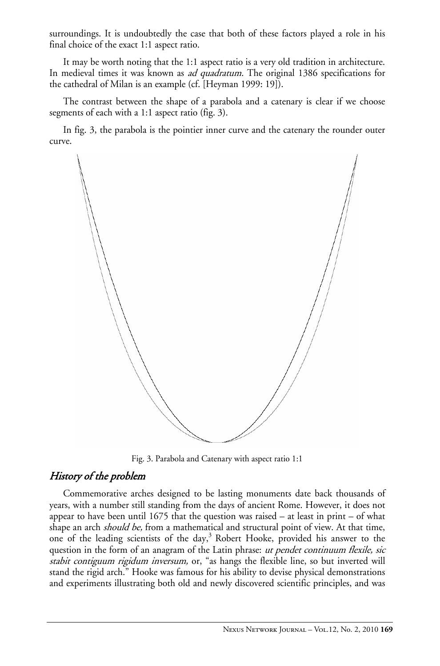surroundings. It is undoubtedly the case that both of these factors played a role in his final choice of the exact 1:1 aspect ratio.

It may be worth noting that the 1:1 aspect ratio is a very old tradition in architecture. In medieval times it was known as *ad quadratum*. The original 1386 specifications for the cathedral of Milan is an example (cf. [Heyman 1999: 19]).

The contrast between the shape of a parabola and a catenary is clear if we choose segments of each with a 1:1 aspect ratio (fig. 3).

In fig. 3, the parabola is the pointier inner curve and the catenary the rounder outer curve.



Fig. 3. Parabola and Catenary with aspect ratio 1:1

## History of the problem

Commemorative arches designed to be lasting monuments date back thousands of years, with a number still standing from the days of ancient Rome. However, it does not appear to have been until  $1675$  that the question was raised – at least in print – of what shape an arch should be, from a mathematical and structural point of view. At that time, one of the leading scientists of the day,<sup>3</sup> Robert Hooke, provided his answer to the question in the form of an anagram of the Latin phrase: ut pendet continuum flexile, sic stabit contiguum rigidum inversum, or, "as hangs the flexible line, so but inverted will stand the rigid arch." Hooke was famous for his ability to devise physical demonstrations and experiments illustrating both old and newly discovered scientific principles, and was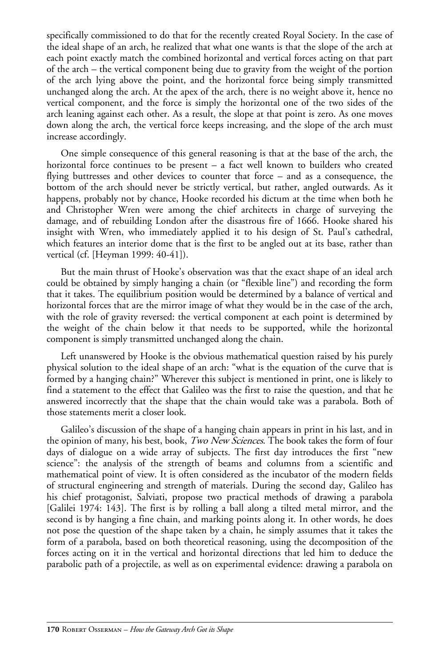specifically commissioned to do that for the recently created Royal Society. In the case of the ideal shape of an arch, he realized that what one wants is that the slope of the arch at each point exactly match the combined horizontal and vertical forces acting on that part of the arch – the vertical component being due to gravity from the weight of the portion of the arch lying above the point, and the horizontal force being simply transmitted unchanged along the arch. At the apex of the arch, there is no weight above it, hence no vertical component, and the force is simply the horizontal one of the two sides of the arch leaning against each other. As a result, the slope at that point is zero. As one moves down along the arch, the vertical force keeps increasing, and the slope of the arch must increase accordingly.

One simple consequence of this general reasoning is that at the base of the arch, the horizontal force continues to be present – a fact well known to builders who created flying buttresses and other devices to counter that force – and as a consequence, the bottom of the arch should never be strictly vertical, but rather, angled outwards. As it happens, probably not by chance, Hooke recorded his dictum at the time when both he and Christopher Wren were among the chief architects in charge of surveying the damage, and of rebuilding London after the disastrous fire of 1666. Hooke shared his insight with Wren, who immediately applied it to his design of St. Paul's cathedral, which features an interior dome that is the first to be angled out at its base, rather than vertical (cf. [Heyman 1999: 40-41]).

But the main thrust of Hooke's observation was that the exact shape of an ideal arch could be obtained by simply hanging a chain (or "flexible line") and recording the form that it takes. The equilibrium position would be determined by a balance of vertical and horizontal forces that are the mirror image of what they would be in the case of the arch, with the role of gravity reversed: the vertical component at each point is determined by the weight of the chain below it that needs to be supported, while the horizontal component is simply transmitted unchanged along the chain.

Left unanswered by Hooke is the obvious mathematical question raised by his purely physical solution to the ideal shape of an arch: "what is the equation of the curve that is formed by a hanging chain?" Wherever this subject is mentioned in print, one is likely to find a statement to the effect that Galileo was the first to raise the question, and that he answered incorrectly that the shape that the chain would take was a parabola. Both of those statements merit a closer look.

Galileo's discussion of the shape of a hanging chain appears in print in his last, and in the opinion of many, his best, book, *Two New Sciences*. The book takes the form of four days of dialogue on a wide array of subjects. The first day introduces the first "new science": the analysis of the strength of beams and columns from a scientific and mathematical point of view. It is often considered as the incubator of the modern fields of structural engineering and strength of materials. During the second day, Galileo has his chief protagonist, Salviati, propose two practical methods of drawing a parabola [Galilei 1974: 143]. The first is by rolling a ball along a tilted metal mirror, and the second is by hanging a fine chain, and marking points along it. In other words, he does not pose the question of the shape taken by a chain, he simply assumes that it takes the form of a parabola, based on both theoretical reasoning, using the decomposition of the forces acting on it in the vertical and horizontal directions that led him to deduce the parabolic path of a projectile, as well as on experimental evidence: drawing a parabola on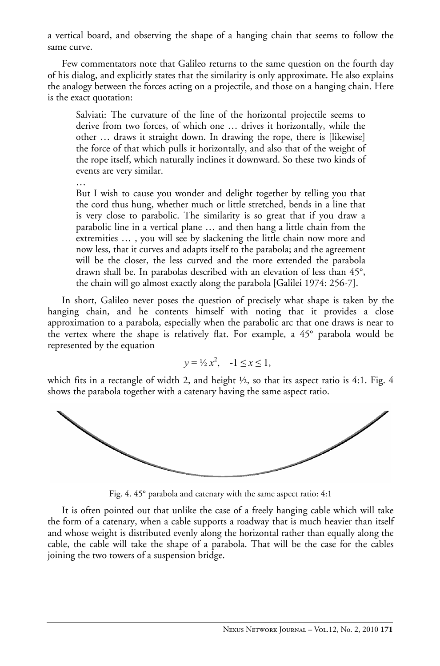a vertical board, and observing the shape of a hanging chain that seems to follow the same curve.

Few commentators note that Galileo returns to the same question on the fourth day of his dialog, and explicitly states that the similarity is only approximate. He also explains the analogy between the forces acting on a projectile, and those on a hanging chain. Here is the exact quotation:

Salviati: The curvature of the line of the horizontal projectile seems to derive from two forces, of which one … drives it horizontally, while the other … draws it straight down. In drawing the rope, there is [likewise] the force of that which pulls it horizontally, and also that of the weight of the rope itself, which naturally inclines it downward. So these two kinds of events are very similar.

…

But I wish to cause you wonder and delight together by telling you that the cord thus hung, whether much or little stretched, bends in a line that is very close to parabolic. The similarity is so great that if you draw a parabolic line in a vertical plane … and then hang a little chain from the extremities … , you will see by slackening the little chain now more and now less, that it curves and adapts itself to the parabola; and the agreement will be the closer, the less curved and the more extended the parabola drawn shall be. In parabolas described with an elevation of less than 45°, the chain will go almost exactly along the parabola [Galilei 1974: 256-7].

In short, Galileo never poses the question of precisely what shape is taken by the hanging chain, and he contents himself with noting that it provides a close approximation to a parabola, especially when the parabolic arc that one draws is near to the vertex where the shape is relatively flat. For example, a 45° parabola would be represented by the equation

$$
y = \frac{1}{2}x^2, \quad -1 \le x \le 1,
$$

which fits in a rectangle of width 2, and height  $\frac{1}{2}$ , so that its aspect ratio is 4:1. Fig. 4 shows the parabola together with a catenary having the same aspect ratio.



Fig. 4. 45° parabola and catenary with the same aspect ratio: 4:1

It is often pointed out that unlike the case of a freely hanging cable which will take the form of a catenary, when a cable supports a roadway that is much heavier than itself and whose weight is distributed evenly along the horizontal rather than equally along the cable, the cable will take the shape of a parabola. That will be the case for the cables joining the two towers of a suspension bridge.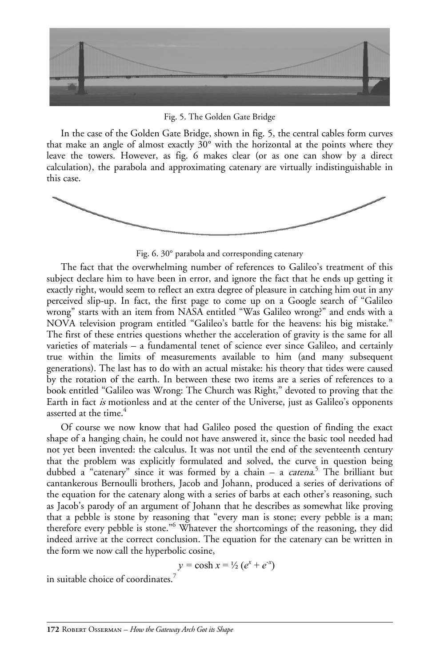

Fig. 5. The Golden Gate Bridge

In the case of the Golden Gate Bridge, shown in fig. 5, the central cables form curves that make an angle of almost exactly 30° with the horizontal at the points where they leave the towers. However, as fig. 6 makes clear (or as one can show by a direct calculation), the parabola and approximating catenary are virtually indistinguishable in this case.



Fig. 6. 30° parabola and corresponding catenary

The fact that the overwhelming number of references to Galileo's treatment of this subject declare him to have been in error, and ignore the fact that he ends up getting it exactly right, would seem to reflect an extra degree of pleasure in catching him out in any perceived slip-up. In fact, the first page to come up on a Google search of "Galileo wrong" starts with an item from NASA entitled "Was Galileo wrong?" and ends with a NOVA television program entitled "Galileo's battle for the heavens: his big mistake." The first of these entries questions whether the acceleration of gravity is the same for all varieties of materials – a fundamental tenet of science ever since Galileo, and certainly true within the limits of measurements available to him (and many subsequent generations). The last has to do with an actual mistake: his theory that tides were caused by the rotation of the earth. In between these two items are a series of references to a book entitled "Galileo was Wrong: The Church was Right," devoted to proving that the Earth in fact is motionless and at the center of the Universe, just as Galileo's opponents asserted at the time.<sup>4</sup>

Of course we now know that had Galileo posed the question of finding the exact shape of a hanging chain, he could not have answered it, since the basic tool needed had not yet been invented: the calculus. It was not until the end of the seventeenth century that the problem was explicitly formulated and solved, the curve in question being dubbed a "catenary" since it was formed by a chain - a *catena.*<sup>5</sup> The brilliant but cantankerous Bernoulli brothers, Jacob and Johann, produced a series of derivations of the equation for the catenary along with a series of barbs at each other's reasoning, such as Jacob's parody of an argument of Johann that he describes as somewhat like proving that a pebble is stone by reasoning that "every man is stone; every pebble is a man; therefore every pebble is stone."<sup>6</sup> Whatever the shortcomings of the reasoning, they did indeed arrive at the correct conclusion. The equation for the catenary can be written in the form we now call the hyperbolic cosine,

 $y = \cosh x = \frac{1}{2} (e^x + e^{-x})$ 

in suitable choice of coordinates.<sup>7</sup>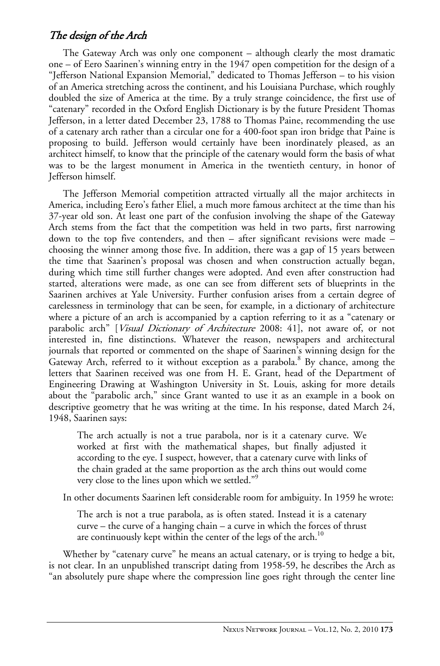### The design of the Arch

The Gateway Arch was only one component – although clearly the most dramatic one – of Eero Saarinen's winning entry in the 1947 open competition for the design of a "Jefferson National Expansion Memorial," dedicated to Thomas Jefferson – to his vision of an America stretching across the continent, and his Louisiana Purchase, which roughly doubled the size of America at the time. By a truly strange coincidence, the first use of "catenary" recorded in the Oxford English Dictionary is by the future President Thomas Jefferson, in a letter dated December 23, 1788 to Thomas Paine, recommending the use of a catenary arch rather than a circular one for a 400-foot span iron bridge that Paine is proposing to build. Jefferson would certainly have been inordinately pleased, as an architect himself, to know that the principle of the catenary would form the basis of what was to be the largest monument in America in the twentieth century, in honor of Jefferson himself.

The Jefferson Memorial competition attracted virtually all the major architects in America, including Eero's father Eliel, a much more famous architect at the time than his 37-year old son. At least one part of the confusion involving the shape of the Gateway Arch stems from the fact that the competition was held in two parts, first narrowing down to the top five contenders, and then – after significant revisions were made – choosing the winner among those five. In addition, there was a gap of 15 years between the time that Saarinen's proposal was chosen and when construction actually began, during which time still further changes were adopted. And even after construction had started, alterations were made, as one can see from different sets of blueprints in the Saarinen archives at Yale University. Further confusion arises from a certain degree of carelessness in terminology that can be seen, for example, in a dictionary of architecture where a picture of an arch is accompanied by a caption referring to it as a "catenary or parabolic arch" [Visual Dictionary of Architecture 2008: 41], not aware of, or not interested in, fine distinctions. Whatever the reason, newspapers and architectural journals that reported or commented on the shape of Saarinen's winning design for the Gateway Arch, referred to it without exception as a parabola.<sup>8</sup> By chance, among the letters that Saarinen received was one from H. E. Grant, head of the Department of Engineering Drawing at Washington University in St. Louis, asking for more details about the "parabolic arch," since Grant wanted to use it as an example in a book on descriptive geometry that he was writing at the time. In his response, dated March 24, 1948, Saarinen says:

The arch actually is not a true parabola, nor is it a catenary curve. We worked at first with the mathematical shapes, but finally adjusted it according to the eye. I suspect, however, that a catenary curve with links of the chain graded at the same proportion as the arch thins out would come very close to the lines upon which we settled."<sup>9</sup>

In other documents Saarinen left considerable room for ambiguity. In 1959 he wrote:

The arch is not a true parabola, as is often stated. Instead it is a catenary curve – the curve of a hanging chain – a curve in which the forces of thrust are continuously kept within the center of the legs of the arch.<sup>10</sup>

Whether by "catenary curve" he means an actual catenary, or is trying to hedge a bit, is not clear. In an unpublished transcript dating from 1958-59, he describes the Arch as "an absolutely pure shape where the compression line goes right through the center line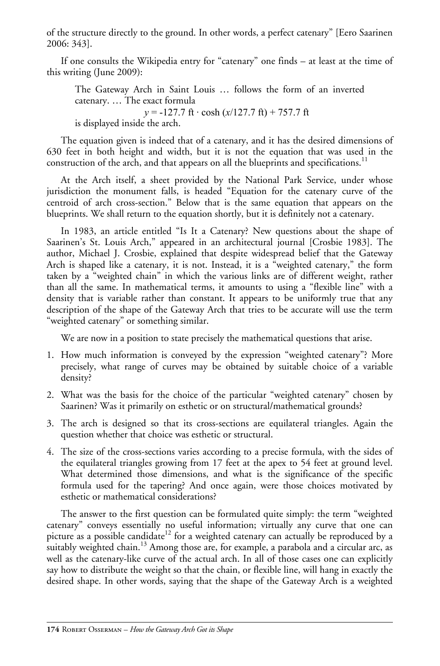of the structure directly to the ground. In other words, a perfect catenary" [Eero Saarinen 2006: 343].

If one consults the Wikipedia entry for "catenary" one finds – at least at the time of this writing (June 2009):

The Gateway Arch in Saint Louis … follows the form of an inverted catenary. … The exact formula

*y* = -127.7 ft · cosh (*x*/127.7 ft) + 757.7 ft

is displayed inside the arch.

The equation given is indeed that of a catenary, and it has the desired dimensions of 630 feet in both height and width, but it is not the equation that was used in the construction of the arch, and that appears on all the blueprints and specifications.<sup>11</sup>

At the Arch itself, a sheet provided by the National Park Service, under whose jurisdiction the monument falls, is headed "Equation for the catenary curve of the centroid of arch cross-section." Below that is the same equation that appears on the blueprints. We shall return to the equation shortly, but it is definitely not a catenary.

In 1983, an article entitled "Is It a Catenary? New questions about the shape of Saarinen's St. Louis Arch," appeared in an architectural journal [Crosbie 1983]. The author, Michael J. Crosbie, explained that despite widespread belief that the Gateway Arch is shaped like a catenary, it is not. Instead, it is a "weighted catenary," the form taken by a "weighted chain" in which the various links are of different weight, rather than all the same. In mathematical terms, it amounts to using a "flexible line" with a density that is variable rather than constant. It appears to be uniformly true that any description of the shape of the Gateway Arch that tries to be accurate will use the term "weighted catenary" or something similar.

We are now in a position to state precisely the mathematical questions that arise.

- 1. How much information is conveyed by the expression "weighted catenary"? More precisely, what range of curves may be obtained by suitable choice of a variable density?
- 2. What was the basis for the choice of the particular "weighted catenary" chosen by Saarinen? Was it primarily on esthetic or on structural/mathematical grounds?
- 3. The arch is designed so that its cross-sections are equilateral triangles. Again the question whether that choice was esthetic or structural.
- 4. The size of the cross-sections varies according to a precise formula, with the sides of the equilateral triangles growing from 17 feet at the apex to 54 feet at ground level. What determined those dimensions, and what is the significance of the specific formula used for the tapering? And once again, were those choices motivated by esthetic or mathematical considerations?

The answer to the first question can be formulated quite simply: the term "weighted catenary" conveys essentially no useful information; virtually any curve that one can picture as a possible candidate<sup>12</sup> for a weighted catenary can actually be reproduced by a suitably weighted chain.<sup>13</sup> Among those are, for example, a parabola and a circular arc, as well as the catenary-like curve of the actual arch. In all of those cases one can explicitly say how to distribute the weight so that the chain, or flexible line, will hang in exactly the desired shape. In other words, saying that the shape of the Gateway Arch is a weighted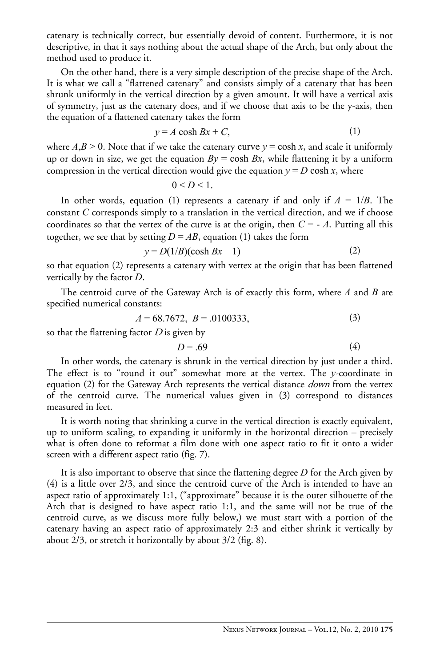catenary is technically correct, but essentially devoid of content. Furthermore, it is not descriptive, in that it says nothing about the actual shape of the Arch, but only about the method used to produce it.

On the other hand, there is a very simple description of the precise shape of the Arch. It is what we call a "flattened catenary" and consists simply of a catenary that has been shrunk uniformly in the vertical direction by a given amount. It will have a vertical axis of symmetry, just as the catenary does, and if we choose that axis to be the y-axis, then the equation of a flattened catenary takes the form

$$
y = A \cosh Bx + C,\tag{1}
$$

where  $A,B > 0$ . Note that if we take the catenary curve  $y = \cosh x$ , and scale it uniformly up or down in size, we get the equation  $By = \cosh Bx$ , while flattening it by a uniform compression in the vertical direction would give the equation  $y = D \cosh x$ , where

$$
0 \leq D \leq 1.
$$

In other words, equation (1) represents a catenary if and only if  $A = 1/B$ . The constant *C* corresponds simply to a translation in the vertical direction, and we if choose coordinates so that the vertex of the curve is at the origin, then  $C = -A$ . Putting all this together, we see that by setting  $D = AB$ , equation (1) takes the form

$$
y = D(1/B)(\cosh Bx - 1) \tag{2}
$$

so that equation (2) represents a catenary with vertex at the origin that has been flattened vertically by the factor *D*.

The centroid curve of the Gateway Arch is of exactly this form, where *A* and *B* are specified numerical constants:

$$
A = 68.7672, B = .0100333,
$$
 (3)

so that the flattening factor  $D$  is given by

$$
D = .69 \tag{4}
$$

In other words, the catenary is shrunk in the vertical direction by just under a third. The effect is to "round it out" somewhat more at the vertex. The *y*-coordinate in equation (2) for the Gateway Arch represents the vertical distance *down* from the vertex of the centroid curve. The numerical values given in (3) correspond to distances measured in feet.

It is worth noting that shrinking a curve in the vertical direction is exactly equivalent, up to uniform scaling, to expanding it uniformly in the horizontal direction – precisely what is often done to reformat a film done with one aspect ratio to fit it onto a wider screen with a different aspect ratio (fig. 7).

It is also important to observe that since the flattening degree *D* for the Arch given by (4) is a little over 2/3, and since the centroid curve of the Arch is intended to have an aspect ratio of approximately 1:1, ("approximate" because it is the outer silhouette of the Arch that is designed to have aspect ratio 1:1, and the same will not be true of the centroid curve, as we discuss more fully below,) we must start with a portion of the catenary having an aspect ratio of approximately 2:3 and either shrink it vertically by about 2/3, or stretch it horizontally by about 3/2 (fig. 8).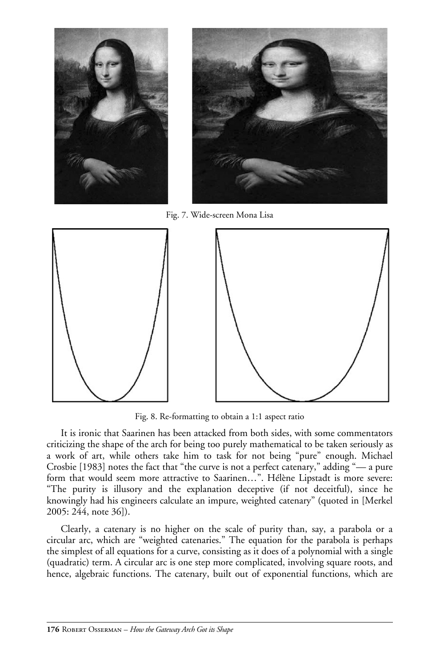

Fig. 7. Wide-screen Mona Lisa



Fig. 8. Re-formatting to obtain a 1:1 aspect ratio

It is ironic that Saarinen has been attacked from both sides, with some commentators criticizing the shape of the arch for being too purely mathematical to be taken seriously as a work of art, while others take him to task for not being "pure" enough. Michael Crosbie [1983] notes the fact that "the curve is not a perfect catenary," adding "— a pure form that would seem more attractive to Saarinen…". Hélène Lipstadt is more severe: "The purity is illusory and the explanation deceptive (if not deceitful), since he knowingly had his engineers calculate an impure, weighted catenary" (quoted in [Merkel 2005: 244, note 36]).

Clearly, a catenary is no higher on the scale of purity than, say, a parabola or a circular arc, which are "weighted catenaries." The equation for the parabola is perhaps the simplest of all equations for a curve, consisting as it does of a polynomial with a single (quadratic) term. A circular arc is one step more complicated, involving square roots, and hence, algebraic functions. The catenary, built out of exponential functions, which are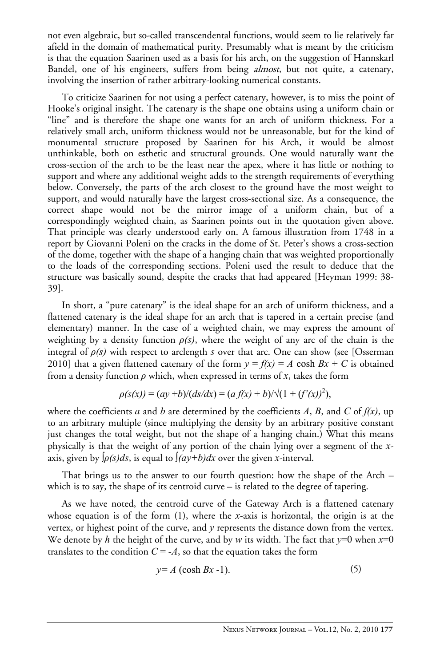not even algebraic, but so-called transcendental functions, would seem to lie relatively far afield in the domain of mathematical purity. Presumably what is meant by the criticism is that the equation Saarinen used as a basis for his arch, on the suggestion of Hannskarl Bandel, one of his engineers, suffers from being *almost*, but not quite, a catenary, involving the insertion of rather arbitrary-looking numerical constants.

To criticize Saarinen for not using a perfect catenary, however, is to miss the point of Hooke's original insight. The catenary is the shape one obtains using a uniform chain or "line" and is therefore the shape one wants for an arch of uniform thickness. For a relatively small arch, uniform thickness would not be unreasonable, but for the kind of monumental structure proposed by Saarinen for his Arch, it would be almost unthinkable, both on esthetic and structural grounds. One would naturally want the cross-section of the arch to be the least near the apex, where it has little or nothing to support and where any additional weight adds to the strength requirements of everything below. Conversely, the parts of the arch closest to the ground have the most weight to support, and would naturally have the largest cross-sectional size. As a consequence, the correct shape would not be the mirror image of a uniform chain, but of a correspondingly weighted chain, as Saarinen points out in the quotation given above. That principle was clearly understood early on. A famous illustration from 1748 in a report by Giovanni Poleni on the cracks in the dome of St. Peter's shows a cross-section of the dome, together with the shape of a hanging chain that was weighted proportionally to the loads of the corresponding sections. Poleni used the result to deduce that the structure was basically sound, despite the cracks that had appeared [Heyman 1999: 38- 39].

In short, a "pure catenary" is the ideal shape for an arch of uniform thickness, and a flattened catenary is the ideal shape for an arch that is tapered in a certain precise (and elementary) manner. In the case of a weighted chain, we may express the amount of weighting by a density function  $\rho(s)$ , where the weight of any arc of the chain is the integral of  $\rho(s)$  with respect to arclength *s* over that arc. One can show (see [Osserman] 2010] that a given flattened catenary of the form  $y = f(x) = A \cosh Bx + C$  is obtained from a density function *ȡ* which, when expressed in terms of *x*, takes the form

$$
\rho(s(x)) = (ay+b)/(ds/dx) = (af(x) + b)/\sqrt{(1 + (f'(x))^2)},
$$

where the coefficients *a* and *b* are determined by the coefficients *A*, *B*, and *C* of  $f(x)$ , up to an arbitrary multiple (since multiplying the density by an arbitrary positive constant just changes the total weight, but not the shape of a hanging chain.) What this means physically is that the weight of any portion of the chain lying over a segment of the *x*axis, given by  $\int \rho(s) ds$ , is equal to  $\int (ay+b) dx$  over the given *x*-interval.

That brings us to the answer to our fourth question: how the shape of the Arch – which is to say, the shape of its centroid curve – is related to the degree of tapering.

As we have noted, the centroid curve of the Gateway Arch is a flattened catenary whose equation is of the form (1), where the *x*-axis is horizontal, the origin is at the vertex, or highest point of the curve, and *y* represents the distance down from the vertex. We denote by *h* the height of the curve, and by *w* its width. The fact that *y*=0 when *x*=0 translates to the condition  $C = -A$ , so that the equation takes the form

$$
y = A \left(\cosh Bx - 1\right). \tag{5}
$$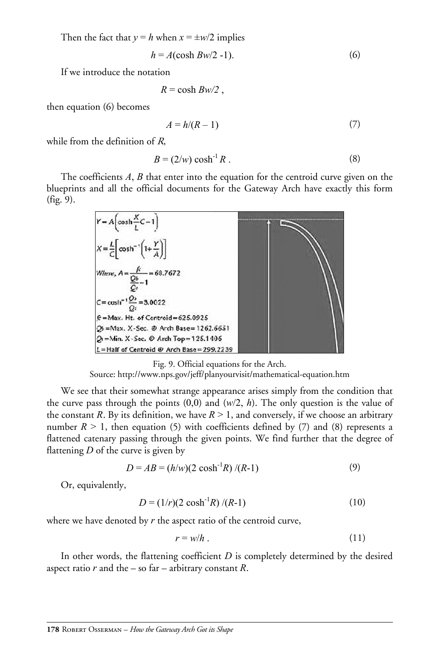Then the fact that  $y = h$  when  $x = \pm w/2$  implies

$$
h = A(\cosh Bw/2 - 1). \tag{6}
$$

If we introduce the notation

$$
R = \cosh Bw/2
$$
,

then equation (6) becomes

$$
A = h/(R-1) \tag{7}
$$

while from the definition of R,

$$
B = (2/w)\cosh^{-1} R . \tag{8}
$$

The coefficients *A*, *B* that enter into the equation for the centroid curve given on the blueprints and all the official documents for the Gateway Arch have exactly this form (fig. 9).



Fig. 9. Official equations for the Arch. Source: http://www.nps.gov/jeff/planyourvisit/mathematical-equation.htm

We see that their somewhat strange appearance arises simply from the condition that the curve pass through the points  $(0,0)$  and  $(w/2, h)$ . The only question is the value of the constant *R*. By its definition, we have  $R > 1$ , and conversely, if we choose an arbitrary number  $R > 1$ , then equation (5) with coefficients defined by (7) and (8) represents a flattened catenary passing through the given points. We find further that the degree of flattening *D* of the curve is given by

$$
D = AB = (h/w)(2 \cosh^{-1} R) / (R-1)
$$
 (9)

Or, equivalently,

$$
D = (1/r)(2 \cosh^{-1} R) / (R-1)
$$
 (10)

where we have denoted by *r* the aspect ratio of the centroid curve,

$$
r = w/h \tag{11}
$$

In other words, the flattening coefficient *D* is completely determined by the desired aspect ratio *r* and the – so far – arbitrary constant *R*.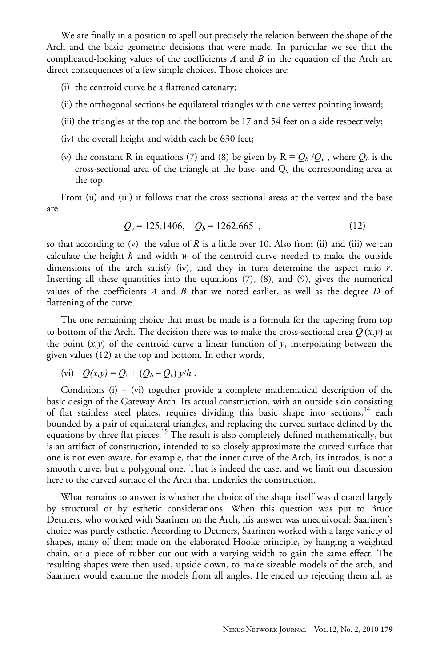We are finally in a position to spell out precisely the relation between the shape of the Arch and the basic geometric decisions that were made. In particular we see that the complicated-looking values of the coefficients *A* and *B* in the equation of the Arch are direct consequences of a few simple choices. Those choices are:

- (i) the centroid curve be a flattened catenary;
- (ii) the orthogonal sections be equilateral triangles with one vertex pointing inward;
- (iii) the triangles at the top and the bottom be 17 and 54 feet on a side respectively;
- (iv) the overall height and width each be 630 feet;
- (v) the constant R in equations (7) and (8) be given by  $R = Q_b/Q_v$ , where  $Q_b$  is the cross-sectional area of the triangle at the base, and  $Q_{\rm v}$  the corresponding area at the top.

From (ii) and (iii) it follows that the cross-sectional areas at the vertex and the base are

$$
Q_v = 125.1406, \quad Q_b = 1262.6651,\tag{12}
$$

so that according to (v), the value of  $R$  is a little over 10. Also from (ii) and (iii) we can calculate the height *h* and width *w* of the centroid curve needed to make the outside dimensions of the arch satisfy (iv), and they in turn determine the aspect ratio *r*. Inserting all these quantities into the equations (7), (8), and (9), gives the numerical values of the coefficients *A* and *B* that we noted earlier, as well as the degree *D* of flattening of the curve.

The one remaining choice that must be made is a formula for the tapering from top to bottom of the Arch. The decision there was to make the cross-sectional area *Q* (*x,y*) at the point  $(x,y)$  of the centroid curve a linear function of  $y$ , interpolating between the given values (12) at the top and bottom. In other words,

(vi) 
$$
Q(x,y) = Q_v + (Q_b - Q_v) y/h
$$
.

Conditions  $(i) - (vi)$  together provide a complete mathematical description of the basic design of the Gateway Arch. Its actual construction, with an outside skin consisting of flat stainless steel plates, requires dividing this basic shape into sections, $14$  each bounded by a pair of equilateral triangles, and replacing the curved surface defined by the equations by three flat pieces.<sup>15</sup> The result is also completely defined mathematically, but is an artifact of construction, intended to so closely approximate the curved surface that one is not even aware, for example, that the inner curve of the Arch, its intrados, is not a smooth curve, but a polygonal one. That is indeed the case, and we limit our discussion here to the curved surface of the Arch that underlies the construction.

What remains to answer is whether the choice of the shape itself was dictated largely by structural or by esthetic considerations. When this question was put to Bruce Detmers, who worked with Saarinen on the Arch, his answer was unequivocal: Saarinen's choice was purely esthetic. According to Detmers, Saarinen worked with a large variety of shapes, many of them made on the elaborated Hooke principle, by hanging a weighted chain, or a piece of rubber cut out with a varying width to gain the same effect. The resulting shapes were then used, upside down, to make sizeable models of the arch, and Saarinen would examine the models from all angles. He ended up rejecting them all, as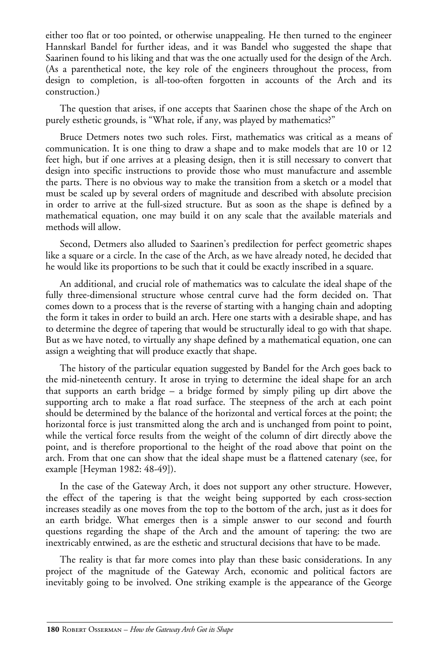either too flat or too pointed, or otherwise unappealing. He then turned to the engineer Hannskarl Bandel for further ideas, and it was Bandel who suggested the shape that Saarinen found to his liking and that was the one actually used for the design of the Arch. (As a parenthetical note, the key role of the engineers throughout the process, from design to completion, is all-too-often forgotten in accounts of the Arch and its construction.)

The question that arises, if one accepts that Saarinen chose the shape of the Arch on purely esthetic grounds, is "What role, if any, was played by mathematics?"

Bruce Detmers notes two such roles. First, mathematics was critical as a means of communication. It is one thing to draw a shape and to make models that are 10 or 12 feet high, but if one arrives at a pleasing design, then it is still necessary to convert that design into specific instructions to provide those who must manufacture and assemble the parts. There is no obvious way to make the transition from a sketch or a model that must be scaled up by several orders of magnitude and described with absolute precision in order to arrive at the full-sized structure. But as soon as the shape is defined by a mathematical equation, one may build it on any scale that the available materials and methods will allow.

Second, Detmers also alluded to Saarinen's predilection for perfect geometric shapes like a square or a circle. In the case of the Arch, as we have already noted, he decided that he would like its proportions to be such that it could be exactly inscribed in a square.

An additional, and crucial role of mathematics was to calculate the ideal shape of the fully three-dimensional structure whose central curve had the form decided on. That comes down to a process that is the reverse of starting with a hanging chain and adopting the form it takes in order to build an arch. Here one starts with a desirable shape, and has to determine the degree of tapering that would be structurally ideal to go with that shape. But as we have noted, to virtually any shape defined by a mathematical equation, one can assign a weighting that will produce exactly that shape.

The history of the particular equation suggested by Bandel for the Arch goes back to the mid-nineteenth century. It arose in trying to determine the ideal shape for an arch that supports an earth bridge – a bridge formed by simply piling up dirt above the supporting arch to make a flat road surface. The steepness of the arch at each point should be determined by the balance of the horizontal and vertical forces at the point; the horizontal force is just transmitted along the arch and is unchanged from point to point, while the vertical force results from the weight of the column of dirt directly above the point, and is therefore proportional to the height of the road above that point on the arch. From that one can show that the ideal shape must be a flattened catenary (see, for example [Heyman 1982: 48-49]).

In the case of the Gateway Arch, it does not support any other structure. However, the effect of the tapering is that the weight being supported by each cross-section increases steadily as one moves from the top to the bottom of the arch, just as it does for an earth bridge. What emerges then is a simple answer to our second and fourth questions regarding the shape of the Arch and the amount of tapering: the two are inextricably entwined, as are the esthetic and structural decisions that have to be made.

The reality is that far more comes into play than these basic considerations. In any project of the magnitude of the Gateway Arch, economic and political factors are inevitably going to be involved. One striking example is the appearance of the George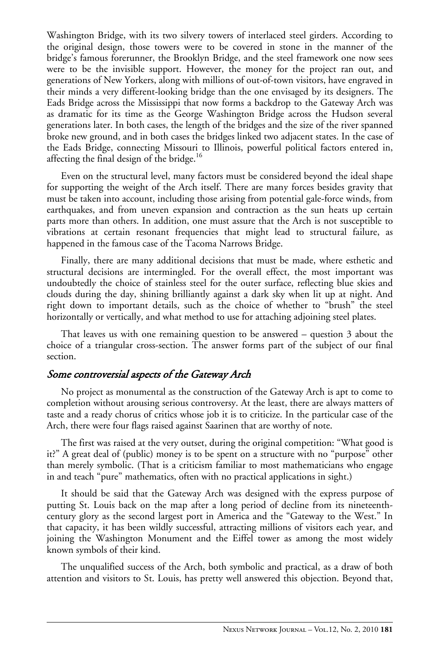Washington Bridge, with its two silvery towers of interlaced steel girders. According to the original design, those towers were to be covered in stone in the manner of the bridge's famous forerunner, the Brooklyn Bridge, and the steel framework one now sees were to be the invisible support. However, the money for the project ran out, and generations of New Yorkers, along with millions of out-of-town visitors, have engraved in their minds a very different-looking bridge than the one envisaged by its designers. The Eads Bridge across the Mississippi that now forms a backdrop to the Gateway Arch was as dramatic for its time as the George Washington Bridge across the Hudson several generations later. In both cases, the length of the bridges and the size of the river spanned broke new ground, and in both cases the bridges linked two adjacent states. In the case of the Eads Bridge, connecting Missouri to Illinois, powerful political factors entered in, affecting the final design of the bridge.<sup>16</sup>

Even on the structural level, many factors must be considered beyond the ideal shape for supporting the weight of the Arch itself. There are many forces besides gravity that must be taken into account, including those arising from potential gale-force winds, from earthquakes, and from uneven expansion and contraction as the sun heats up certain parts more than others. In addition, one must assure that the Arch is not susceptible to vibrations at certain resonant frequencies that might lead to structural failure, as happened in the famous case of the Tacoma Narrows Bridge.

Finally, there are many additional decisions that must be made, where esthetic and structural decisions are intermingled. For the overall effect, the most important was undoubtedly the choice of stainless steel for the outer surface, reflecting blue skies and clouds during the day, shining brilliantly against a dark sky when lit up at night. And right down to important details, such as the choice of whether to "brush" the steel horizontally or vertically, and what method to use for attaching adjoining steel plates.

That leaves us with one remaining question to be answered – question 3 about the choice of a triangular cross-section. The answer forms part of the subject of our final section.

#### Some controversial aspects of the Gateway Arch

No project as monumental as the construction of the Gateway Arch is apt to come to completion without arousing serious controversy. At the least, there are always matters of taste and a ready chorus of critics whose job it is to criticize. In the particular case of the Arch, there were four flags raised against Saarinen that are worthy of note.

The first was raised at the very outset, during the original competition: "What good is it?" A great deal of (public) money is to be spent on a structure with no "purpose" other than merely symbolic. (That is a criticism familiar to most mathematicians who engage in and teach "pure" mathematics, often with no practical applications in sight.)

It should be said that the Gateway Arch was designed with the express purpose of putting St. Louis back on the map after a long period of decline from its nineteenthcentury glory as the second largest port in America and the "Gateway to the West." In that capacity, it has been wildly successful, attracting millions of visitors each year, and joining the Washington Monument and the Eiffel tower as among the most widely known symbols of their kind.

The unqualified success of the Arch, both symbolic and practical, as a draw of both attention and visitors to St. Louis, has pretty well answered this objection. Beyond that,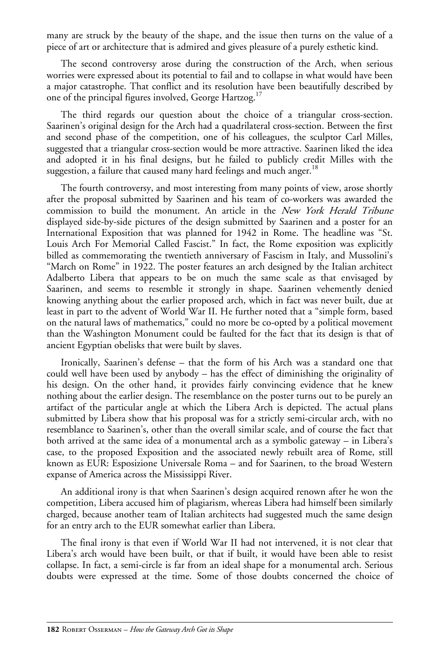many are struck by the beauty of the shape, and the issue then turns on the value of a piece of art or architecture that is admired and gives pleasure of a purely esthetic kind.

The second controversy arose during the construction of the Arch, when serious worries were expressed about its potential to fail and to collapse in what would have been a major catastrophe. That conflict and its resolution have been beautifully described by one of the principal figures involved, George Hartzog.<sup>17</sup>

The third regards our question about the choice of a triangular cross-section. Saarinen's original design for the Arch had a quadrilateral cross-section. Between the first and second phase of the competition, one of his colleagues, the sculptor Carl Milles, suggested that a triangular cross-section would be more attractive. Saarinen liked the idea and adopted it in his final designs, but he failed to publicly credit Milles with the suggestion, a failure that caused many hard feelings and much anger.<sup>18</sup>

The fourth controversy, and most interesting from many points of view, arose shortly after the proposal submitted by Saarinen and his team of co-workers was awarded the commission to build the monument. An article in the New York Herald Tribune displayed side-by-side pictures of the design submitted by Saarinen and a poster for an International Exposition that was planned for 1942 in Rome. The headline was "St. Louis Arch For Memorial Called Fascist." In fact, the Rome exposition was explicitly billed as commemorating the twentieth anniversary of Fascism in Italy, and Mussolini's "March on Rome" in 1922. The poster features an arch designed by the Italian architect Adalberto Libera that appears to be on much the same scale as that envisaged by Saarinen, and seems to resemble it strongly in shape. Saarinen vehemently denied knowing anything about the earlier proposed arch, which in fact was never built, due at least in part to the advent of World War II. He further noted that a "simple form, based on the natural laws of mathematics," could no more be co-opted by a political movement than the Washington Monument could be faulted for the fact that its design is that of ancient Egyptian obelisks that were built by slaves.

Ironically, Saarinen's defense – that the form of his Arch was a standard one that could well have been used by anybody – has the effect of diminishing the originality of his design. On the other hand, it provides fairly convincing evidence that he knew nothing about the earlier design. The resemblance on the poster turns out to be purely an artifact of the particular angle at which the Libera Arch is depicted. The actual plans submitted by Libera show that his proposal was for a strictly semi-circular arch, with no resemblance to Saarinen's, other than the overall similar scale, and of course the fact that both arrived at the same idea of a monumental arch as a symbolic gateway – in Libera's case, to the proposed Exposition and the associated newly rebuilt area of Rome, still known as EUR: Esposizione Universale Roma – and for Saarinen, to the broad Western expanse of America across the Mississippi River.

An additional irony is that when Saarinen's design acquired renown after he won the competition, Libera accused him of plagiarism, whereas Libera had himself been similarly charged, because another team of Italian architects had suggested much the same design for an entry arch to the EUR somewhat earlier than Libera.

The final irony is that even if World War II had not intervened, it is not clear that Libera's arch would have been built, or that if built, it would have been able to resist collapse. In fact, a semi-circle is far from an ideal shape for a monumental arch. Serious doubts were expressed at the time. Some of those doubts concerned the choice of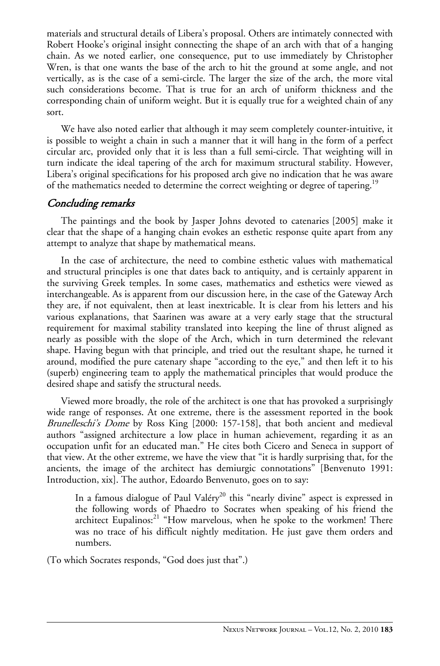materials and structural details of Libera's proposal. Others are intimately connected with Robert Hooke's original insight connecting the shape of an arch with that of a hanging chain. As we noted earlier, one consequence, put to use immediately by Christopher Wren, is that one wants the base of the arch to hit the ground at some angle, and not vertically, as is the case of a semi-circle. The larger the size of the arch, the more vital such considerations become. That is true for an arch of uniform thickness and the corresponding chain of uniform weight. But it is equally true for a weighted chain of any sort.

We have also noted earlier that although it may seem completely counter-intuitive, it is possible to weight a chain in such a manner that it will hang in the form of a perfect circular arc, provided only that it is less than a full semi-circle. That weighting will in turn indicate the ideal tapering of the arch for maximum structural stability. However, Libera's original specifications for his proposed arch give no indication that he was aware of the mathematics needed to determine the correct weighting or degree of tapering.<sup>19</sup>

### Concluding remarks

The paintings and the book by Jasper Johns devoted to catenaries [2005] make it clear that the shape of a hanging chain evokes an esthetic response quite apart from any attempt to analyze that shape by mathematical means.

In the case of architecture, the need to combine esthetic values with mathematical and structural principles is one that dates back to antiquity, and is certainly apparent in the surviving Greek temples. In some cases, mathematics and esthetics were viewed as interchangeable. As is apparent from our discussion here, in the case of the Gateway Arch they are, if not equivalent, then at least inextricable. It is clear from his letters and his various explanations, that Saarinen was aware at a very early stage that the structural requirement for maximal stability translated into keeping the line of thrust aligned as nearly as possible with the slope of the Arch, which in turn determined the relevant shape. Having begun with that principle, and tried out the resultant shape, he turned it around, modified the pure catenary shape "according to the eye," and then left it to his (superb) engineering team to apply the mathematical principles that would produce the desired shape and satisfy the structural needs.

Viewed more broadly, the role of the architect is one that has provoked a surprisingly wide range of responses. At one extreme, there is the assessment reported in the book Brunelleschi's Dome by Ross King [2000: 157-158], that both ancient and medieval authors "assigned architecture a low place in human achievement, regarding it as an occupation unfit for an educated man." He cites both Cicero and Seneca in support of that view. At the other extreme, we have the view that "it is hardly surprising that, for the ancients, the image of the architect has demiurgic connotations" [Benvenuto 1991: Introduction, xix]. The author, Edoardo Benvenuto, goes on to say:

In a famous dialogue of Paul Valéry<sup>20</sup> this "nearly divine" aspect is expressed in the following words of Phaedro to Socrates when speaking of his friend the architect Eupalinos:<sup>21</sup> "How marvelous, when he spoke to the workmen! There was no trace of his difficult nightly meditation. He just gave them orders and numbers.

(To which Socrates responds, "God does just that".)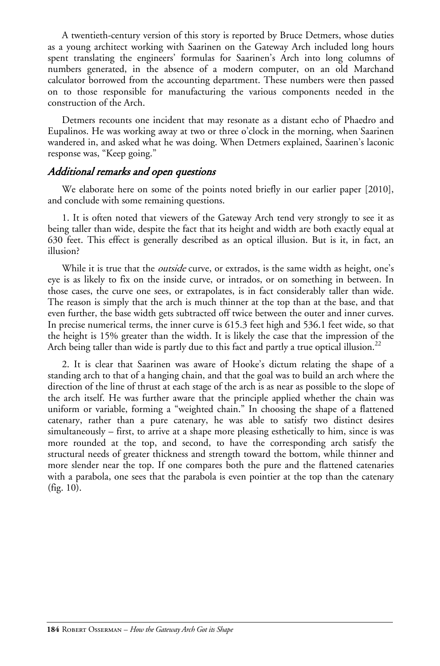A twentieth-century version of this story is reported by Bruce Detmers, whose duties as a young architect working with Saarinen on the Gateway Arch included long hours spent translating the engineers' formulas for Saarinen's Arch into long columns of numbers generated, in the absence of a modern computer, on an old Marchand calculator borrowed from the accounting department. These numbers were then passed on to those responsible for manufacturing the various components needed in the construction of the Arch.

Detmers recounts one incident that may resonate as a distant echo of Phaedro and Eupalinos. He was working away at two or three o'clock in the morning, when Saarinen wandered in, and asked what he was doing. When Detmers explained, Saarinen's laconic response was, "Keep going."

#### Additional remarks and open questions

We elaborate here on some of the points noted briefly in our earlier paper [2010], and conclude with some remaining questions.

1. It is often noted that viewers of the Gateway Arch tend very strongly to see it as being taller than wide, despite the fact that its height and width are both exactly equal at 630 feet. This effect is generally described as an optical illusion. But is it, in fact, an illusion?

While it is true that the *outside* curve, or extrados, is the same width as height, one's eye is as likely to fix on the inside curve, or intrados, or on something in between. In those cases, the curve one sees, or extrapolates, is in fact considerably taller than wide. The reason is simply that the arch is much thinner at the top than at the base, and that even further, the base width gets subtracted off twice between the outer and inner curves. In precise numerical terms, the inner curve is 615.3 feet high and 536.1 feet wide, so that the height is 15% greater than the width. It is likely the case that the impression of the Arch being taller than wide is partly due to this fact and partly a true optical illusion.<sup>22</sup>

2. It is clear that Saarinen was aware of Hooke's dictum relating the shape of a standing arch to that of a hanging chain, and that the goal was to build an arch where the direction of the line of thrust at each stage of the arch is as near as possible to the slope of the arch itself. He was further aware that the principle applied whether the chain was uniform or variable, forming a "weighted chain." In choosing the shape of a flattened catenary, rather than a pure catenary, he was able to satisfy two distinct desires simultaneously – first, to arrive at a shape more pleasing esthetically to him, since is was more rounded at the top, and second, to have the corresponding arch satisfy the structural needs of greater thickness and strength toward the bottom, while thinner and more slender near the top. If one compares both the pure and the flattened catenaries with a parabola, one sees that the parabola is even pointier at the top than the catenary (fig. 10).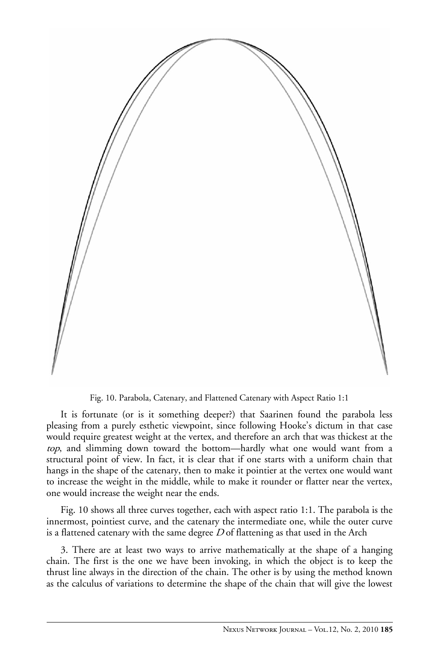

Fig. 10. Parabola, Catenary, and Flattened Catenary with Aspect Ratio 1:1

It is fortunate (or is it something deeper?) that Saarinen found the parabola less pleasing from a purely esthetic viewpoint, since following Hooke's dictum in that case would require greatest weight at the vertex, and therefore an arch that was thickest at the top, and slimming down toward the bottom—hardly what one would want from a structural point of view. In fact, it is clear that if one starts with a uniform chain that hangs in the shape of the catenary, then to make it pointier at the vertex one would want to increase the weight in the middle, while to make it rounder or flatter near the vertex, one would increase the weight near the ends.

Fig. 10 shows all three curves together, each with aspect ratio 1:1. The parabola is the innermost, pointiest curve, and the catenary the intermediate one, while the outer curve is a flattened catenary with the same degree  $D$  of flattening as that used in the Arch

3. There are at least two ways to arrive mathematically at the shape of a hanging chain. The first is the one we have been invoking, in which the object is to keep the thrust line always in the direction of the chain. The other is by using the method known as the calculus of variations to determine the shape of the chain that will give the lowest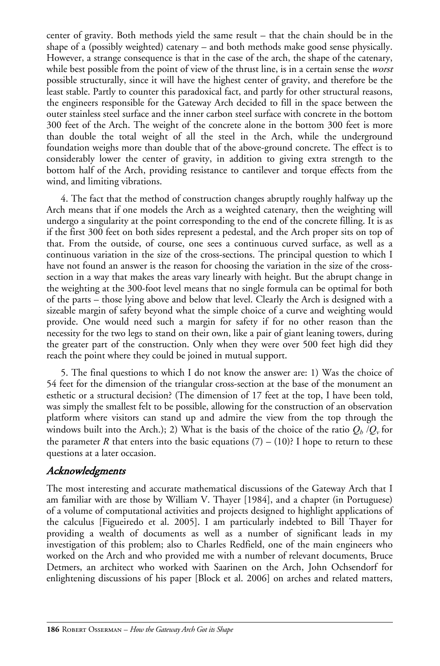center of gravity. Both methods yield the same result – that the chain should be in the shape of a (possibly weighted) catenary – and both methods make good sense physically. However, a strange consequence is that in the case of the arch, the shape of the catenary, while best possible from the point of view of the thrust line, is in a certain sense the worst possible structurally, since it will have the highest center of gravity, and therefore be the least stable. Partly to counter this paradoxical fact, and partly for other structural reasons, the engineers responsible for the Gateway Arch decided to fill in the space between the outer stainless steel surface and the inner carbon steel surface with concrete in the bottom 300 feet of the Arch. The weight of the concrete alone in the bottom 300 feet is more than double the total weight of all the steel in the Arch, while the underground foundation weighs more than double that of the above-ground concrete. The effect is to considerably lower the center of gravity, in addition to giving extra strength to the bottom half of the Arch, providing resistance to cantilever and torque effects from the wind, and limiting vibrations.

4. The fact that the method of construction changes abruptly roughly halfway up the Arch means that if one models the Arch as a weighted catenary, then the weighting will undergo a singularity at the point corresponding to the end of the concrete filling. It is as if the first 300 feet on both sides represent a pedestal, and the Arch proper sits on top of that. From the outside, of course, one sees a continuous curved surface, as well as a continuous variation in the size of the cross-sections. The principal question to which I have not found an answer is the reason for choosing the variation in the size of the crosssection in a way that makes the areas vary linearly with height. But the abrupt change in the weighting at the 300-foot level means that no single formula can be optimal for both of the parts – those lying above and below that level. Clearly the Arch is designed with a sizeable margin of safety beyond what the simple choice of a curve and weighting would provide. One would need such a margin for safety if for no other reason than the necessity for the two legs to stand on their own, like a pair of giant leaning towers, during the greater part of the construction. Only when they were over 500 feet high did they reach the point where they could be joined in mutual support.

5. The final questions to which I do not know the answer are: 1) Was the choice of 54 feet for the dimension of the triangular cross-section at the base of the monument an esthetic or a structural decision? (The dimension of 17 feet at the top, I have been told, was simply the smallest felt to be possible, allowing for the construction of an observation platform where visitors can stand up and admire the view from the top through the windows built into the Arch.); 2) What is the basis of the choice of the ratio  $Q_b/Q_v$  for the parameter *R* that enters into the basic equations  $(7) - (10)$ ? I hope to return to these questions at a later occasion.

## Acknowledgments

The most interesting and accurate mathematical discussions of the Gateway Arch that I am familiar with are those by William V. Thayer [1984], and a chapter (in Portuguese) of a volume of computational activities and projects designed to highlight applications of the calculus [Figueiredo et al. 2005]. I am particularly indebted to Bill Thayer for providing a wealth of documents as well as a number of significant leads in my investigation of this problem; also to Charles Redfield, one of the main engineers who worked on the Arch and who provided me with a number of relevant documents, Bruce Detmers, an architect who worked with Saarinen on the Arch, John Ochsendorf for enlightening discussions of his paper [Block et al. 2006] on arches and related matters,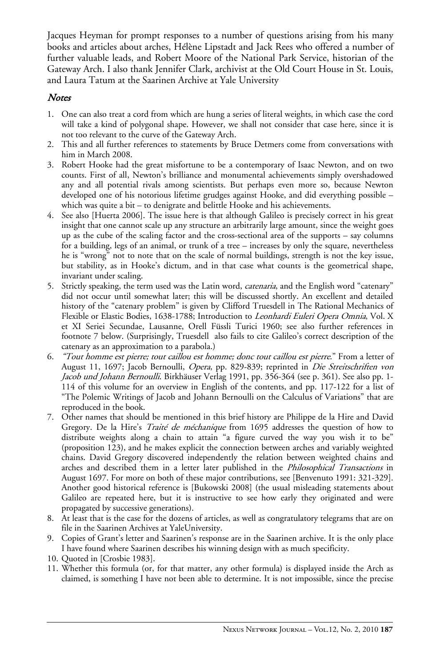Jacques Heyman for prompt responses to a number of questions arising from his many books and articles about arches, Hélène Lipstadt and Jack Rees who offered a number of further valuable leads, and Robert Moore of the National Park Service, historian of the Gateway Arch. I also thank Jennifer Clark, archivist at the Old Court House in St. Louis, and Laura Tatum at the Saarinen Archive at Yale University

#### **Notes**

- 1. One can also treat a cord from which are hung a series of literal weights, in which case the cord will take a kind of polygonal shape. However, we shall not consider that case here, since it is not too relevant to the curve of the Gateway Arch.
- 2. This and all further references to statements by Bruce Detmers come from conversations with him in March 2008.
- 3. Robert Hooke had the great misfortune to be a contemporary of Isaac Newton, and on two counts. First of all, Newton's brilliance and monumental achievements simply overshadowed any and all potential rivals among scientists. But perhaps even more so, because Newton developed one of his notorious lifetime grudges against Hooke, and did everything possible – which was quite a bit – to denigrate and belittle Hooke and his achievements.
- 4. See also [Huerta 2006]. The issue here is that although Galileo is precisely correct in his great insight that one cannot scale up any structure an arbitrarily large amount, since the weight goes up as the cube of the scaling factor and the cross-sectional area of the supports – say columns for a building, legs of an animal, or trunk of a tree – increases by only the square, nevertheless he is "wrong" not to note that on the scale of normal buildings, strength is not the key issue, but stability, as in Hooke's dictum, and in that case what counts is the geometrical shape, invariant under scaling.
- 5. Strictly speaking, the term used was the Latin word, *catenaria*, and the English word "catenary" did not occur until somewhat later; this will be discussed shortly. An excellent and detailed history of the "catenary problem" is given by Clifford Truesdell in The Rational Mechanics of Flexible or Elastic Bodies, 1638-1788; Introduction to Leonhardi Euleri Opera Omnia, Vol. X et XI Seriei Secundae, Lausanne, Orell Füssli Turici 1960; see also further references in footnote 7 below. (Surprisingly, Truesdell also fails to cite Galileo's correct description of the catenary as an approximation to a parabola.)
- 6. "Tout homme est pierre; tout caillou est homme; donc tout caillou est pierre." From a letter of August 11, 1697; Jacob Bernoulli, Opera, pp. 829-839; reprinted in Die Streitschriften von Jacob und Johann Bernoulli. Birkhäuser Verlag 1991, pp. 356-364 (see p. 361). See also pp. 1- 114 of this volume for an overview in English of the contents, and pp. 117-122 for a list of "The Polemic Writings of Jacob and Johann Bernoulli on the Calculus of Variations" that are reproduced in the book.
- 7. Other names that should be mentioned in this brief history are Philippe de la Hire and David Gregory. De la Hire's Traité de méchanique from 1695 addresses the question of how to distribute weights along a chain to attain "a figure curved the way you wish it to be" (proposition 123), and he makes explicit the connection between arches and variably weighted chains. David Gregory discovered independently the relation between weighted chains and arches and described them in a letter later published in the Philosophical Transactions in August 1697. For more on both of these major contributions, see [Benvenuto 1991: 321-329]. Another good historical reference is [Bukowski 2008] (the usual misleading statements about Galileo are repeated here, but it is instructive to see how early they originated and were propagated by successive generations).
- 8. At least that is the case for the dozens of articles, as well as congratulatory telegrams that are on file in the Saarinen Archives at YaleUniversity.
- 9. Copies of Grant's letter and Saarinen's response are in the Saarinen archive. It is the only place I have found where Saarinen describes his winning design with as much specificity.
- 10. Quoted in [Crosbie 1983].
- 11. Whether this formula (or, for that matter, any other formula) is displayed inside the Arch as claimed, is something I have not been able to determine. It is not impossible, since the precise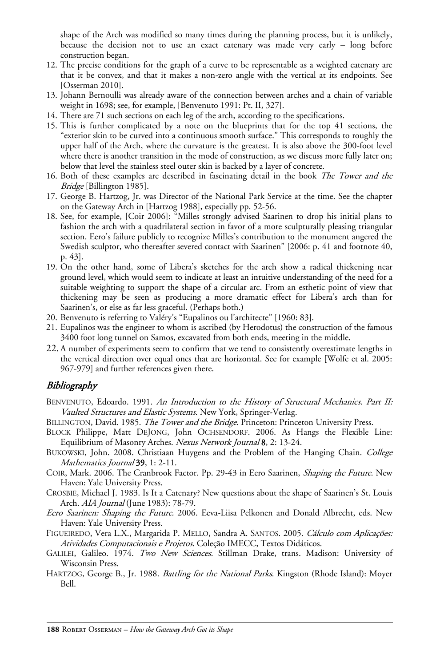shape of the Arch was modified so many times during the planning process, but it is unlikely, because the decision not to use an exact catenary was made very early – long before construction began.

- 12. The precise conditions for the graph of a curve to be representable as a weighted catenary are that it be convex, and that it makes a non-zero angle with the vertical at its endpoints. See [Osserman 2010].
- 13. Johann Bernoulli was already aware of the connection between arches and a chain of variable weight in 1698; see, for example, [Benvenuto 1991: Pt. II, 327].
- 14. There are 71 such sections on each leg of the arch, according to the specifications.
- 15. This is further complicated by a note on the blueprints that for the top 41 sections, the "exterior skin to be curved into a continuous smooth surface." This corresponds to roughly the upper half of the Arch, where the curvature is the greatest. It is also above the 300-foot level where there is another transition in the mode of construction, as we discuss more fully later on; below that level the stainless steel outer skin is backed by a layer of concrete.
- 16. Both of these examples are described in fascinating detail in the book *The Tower and the* Bridge [Billington 1985].
- 17. George B. Hartzog, Jr. was Director of the National Park Service at the time. See the chapter on the Gateway Arch in [Hartzog 1988], especially pp. 52-56.
- 18. See, for example, [Coir 2006]: "Milles strongly advised Saarinen to drop his initial plans to fashion the arch with a quadrilateral section in favor of a more sculpturally pleasing triangular section. Eero's failure publicly to recognize Milles's contribution to the monument angered the Swedish sculptor, who thereafter severed contact with Saarinen" [2006: p. 41 and footnote 40, p. 43].
- 19. On the other hand, some of Libera's sketches for the arch show a radical thickening near ground level, which would seem to indicate at least an intuitive understanding of the need for a suitable weighting to support the shape of a circular arc. From an esthetic point of view that thickening may be seen as producing a more dramatic effect for Libera's arch than for Saarinen's, or else as far less graceful. (Perhaps both.)
- 20. Benvenuto is referring to Valéry's "Eupalinos ou l'architecte" [1960: 83].
- 21. Eupalinos was the engineer to whom is ascribed (by Herodotus) the construction of the famous 3400 foot long tunnel on Samos, excavated from both ends, meeting in the middle.
- 22. A number of experiments seem to confirm that we tend to consistently overestimate lengths in the vertical direction over equal ones that are horizontal. See for example [Wolfe et al. 2005: 967-979] and further references given there.

#### **Bibliography**

- BENVENUTO, Edoardo. 1991. An Introduction to the History of Structural Mechanics. Part II: Vaulted Structures and Elastic Systems. New York, Springer-Verlag.
- BILLINGTON, David. 1985. The Tower and the Bridge. Princeton: Princeton University Press.
- BLOCK Philippe, Matt DEJONG, John OCHSENDORF. 2006. As Hangs the Flexible Line: Equilibrium of Masonry Arches. Nexus Network Journal 8, 2: 13-24.
- BUKOWSKI, John. 2008. Christiaan Huygens and the Problem of the Hanging Chain. College Mathematics Journal 39, 1: 2-11.
- COIR, Mark. 2006. The Cranbrook Factor. Pp. 29-43 in Eero Saarinen, Shaping the Future. New Haven: Yale University Press.
- CROSBIE, Michael J. 1983. Is It a Catenary? New questions about the shape of Saarinen's St. Louis Arch. AIA Journal (June 1983): 78-79.
- Eero Saarinen: Shaping the Future. 2006. Eeva-Liisa Pelkonen and Donald Albrecht, eds. New Haven: Yale University Press.
- FIGUEIREDO, Vera L.X., Margarida P. MELLO, Sandra A. SANTOS. 2005. Cálculo com Aplicações: Atividades Computacionais e Projetos. Coleção IMECC, Textos Didáticos.
- GALILEI, Galileo. 1974. Two New Sciences. Stillman Drake, trans. Madison: University of Wisconsin Press.
- HARTZOG, George B., Jr. 1988. *Battling for the National Parks*. Kingston (Rhode Island): Moyer Bell.